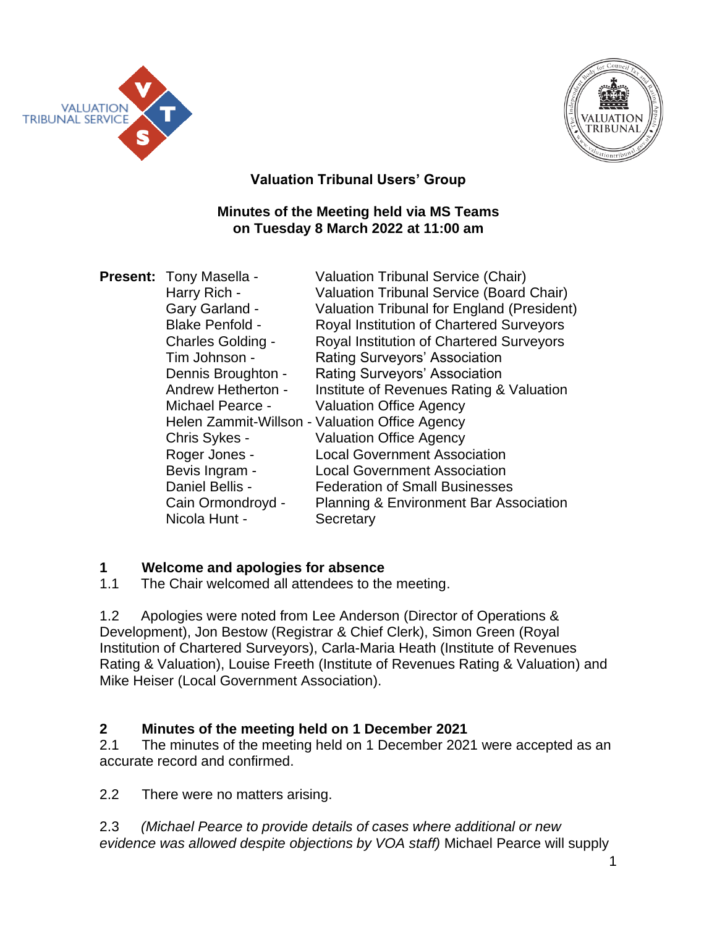



## **Valuation Tribunal Users' Group**

### **Minutes of the Meeting held via MS Teams on Tuesday 8 March 2022 at 11:00 am**

| <b>Present:</b> Tony Masella - | <b>Valuation Tribunal Service (Chair)</b>         |
|--------------------------------|---------------------------------------------------|
| Harry Rich -                   | <b>Valuation Tribunal Service (Board Chair)</b>   |
| Gary Garland -                 | Valuation Tribunal for England (President)        |
| <b>Blake Penfold -</b>         | Royal Institution of Chartered Surveyors          |
| <b>Charles Golding -</b>       | <b>Royal Institution of Chartered Surveyors</b>   |
| Tim Johnson -                  | <b>Rating Surveyors' Association</b>              |
| Dennis Broughton -             | <b>Rating Surveyors' Association</b>              |
| Andrew Hetherton -             | Institute of Revenues Rating & Valuation          |
| Michael Pearce -               | <b>Valuation Office Agency</b>                    |
|                                | Helen Zammit-Willson - Valuation Office Agency    |
| Chris Sykes -                  | <b>Valuation Office Agency</b>                    |
| Roger Jones -                  | <b>Local Government Association</b>               |
| Bevis Ingram -                 | <b>Local Government Association</b>               |
| Daniel Bellis -                | <b>Federation of Small Businesses</b>             |
| Cain Ormondroyd -              | <b>Planning &amp; Environment Bar Association</b> |
| Nicola Hunt -                  | Secretary                                         |

## **1 Welcome and apologies for absence**

1.1 The Chair welcomed all attendees to the meeting.

1.2 Apologies were noted from Lee Anderson (Director of Operations & Development), Jon Bestow (Registrar & Chief Clerk), Simon Green (Royal Institution of Chartered Surveyors), Carla-Maria Heath (Institute of Revenues Rating & Valuation), Louise Freeth (Institute of Revenues Rating & Valuation) and Mike Heiser (Local Government Association).

## **2 Minutes of the meeting held on 1 December 2021**

2.1 The minutes of the meeting held on 1 December 2021 were accepted as an accurate record and confirmed.

2.2 There were no matters arising.

2.3 *(Michael Pearce to provide details of cases where additional or new evidence was allowed despite objections by VOA staff)* Michael Pearce will supply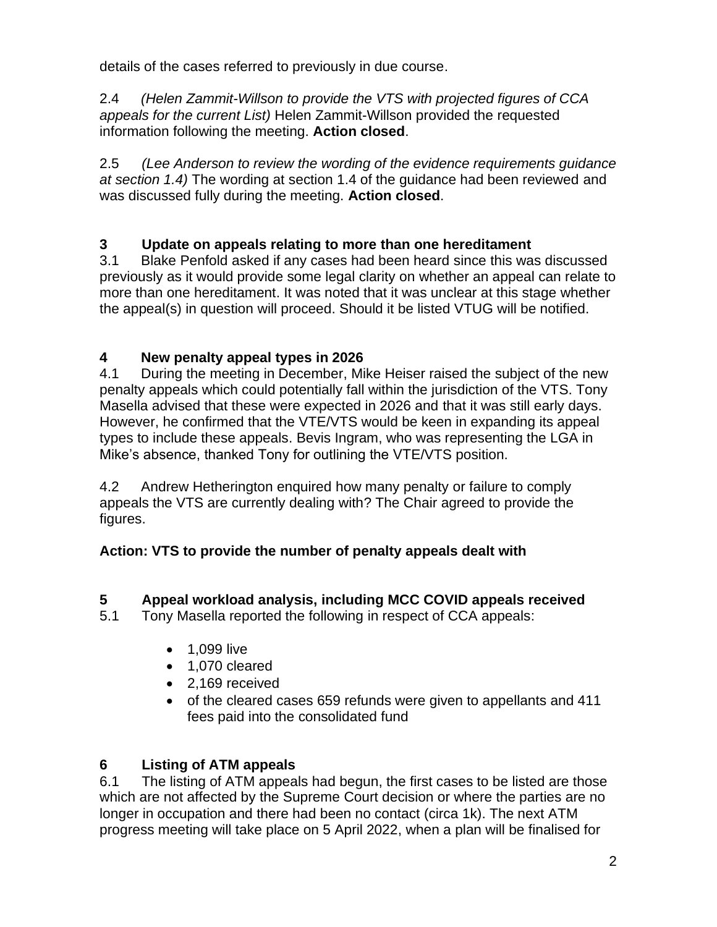details of the cases referred to previously in due course.

2.4 *(Helen Zammit-Willson to provide the VTS with projected figures of CCA appeals for the current List)* Helen Zammit-Willson provided the requested information following the meeting. **Action closed**.

2.5 *(Lee Anderson to review the wording of the evidence requirements guidance at section 1.4)* The wording at section 1.4 of the guidance had been reviewed and was discussed fully during the meeting. **Action closed**.

## **3 Update on appeals relating to more than one hereditament**

3.1 Blake Penfold asked if any cases had been heard since this was discussed previously as it would provide some legal clarity on whether an appeal can relate to more than one hereditament. It was noted that it was unclear at this stage whether the appeal(s) in question will proceed. Should it be listed VTUG will be notified.

## **4 New penalty appeal types in 2026**

4.1 During the meeting in December, Mike Heiser raised the subject of the new penalty appeals which could potentially fall within the jurisdiction of the VTS. Tony Masella advised that these were expected in 2026 and that it was still early days. However, he confirmed that the VTE/VTS would be keen in expanding its appeal types to include these appeals. Bevis Ingram, who was representing the LGA in Mike's absence, thanked Tony for outlining the VTE/VTS position.

4.2 Andrew Hetherington enquired how many penalty or failure to comply appeals the VTS are currently dealing with? The Chair agreed to provide the figures.

# **Action: VTS to provide the number of penalty appeals dealt with**

## **5 Appeal workload analysis, including MCC COVID appeals received**

5.1 Tony Masella reported the following in respect of CCA appeals:

- 1,099 live
- 1,070 cleared
- 2,169 received
- of the cleared cases 659 refunds were given to appellants and 411 fees paid into the consolidated fund

# **6 Listing of ATM appeals**

6.1 The listing of ATM appeals had begun, the first cases to be listed are those which are not affected by the Supreme Court decision or where the parties are no longer in occupation and there had been no contact (circa 1k). The next ATM progress meeting will take place on 5 April 2022, when a plan will be finalised for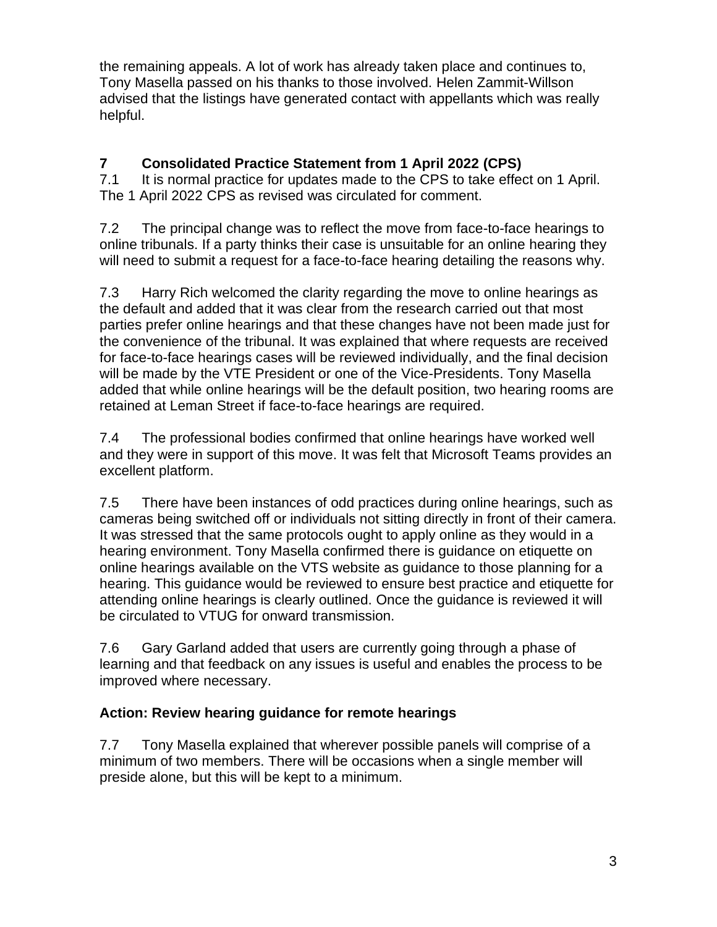the remaining appeals. A lot of work has already taken place and continues to, Tony Masella passed on his thanks to those involved. Helen Zammit-Willson advised that the listings have generated contact with appellants which was really helpful.

# **7 Consolidated Practice Statement from 1 April 2022 (CPS)**

7.1 It is normal practice for updates made to the CPS to take effect on 1 April. The 1 April 2022 CPS as revised was circulated for comment.

7.2 The principal change was to reflect the move from face-to-face hearings to online tribunals. If a party thinks their case is unsuitable for an online hearing they will need to submit a request for a face-to-face hearing detailing the reasons why.

7.3 Harry Rich welcomed the clarity regarding the move to online hearings as the default and added that it was clear from the research carried out that most parties prefer online hearings and that these changes have not been made just for the convenience of the tribunal. It was explained that where requests are received for face-to-face hearings cases will be reviewed individually, and the final decision will be made by the VTE President or one of the Vice-Presidents. Tony Masella added that while online hearings will be the default position, two hearing rooms are retained at Leman Street if face-to-face hearings are required.

7.4 The professional bodies confirmed that online hearings have worked well and they were in support of this move. It was felt that Microsoft Teams provides an excellent platform.

7.5 There have been instances of odd practices during online hearings, such as cameras being switched off or individuals not sitting directly in front of their camera. It was stressed that the same protocols ought to apply online as they would in a hearing environment. Tony Masella confirmed there is guidance on etiquette on online hearings available on the VTS website as guidance to those planning for a hearing. This guidance would be reviewed to ensure best practice and etiquette for attending online hearings is clearly outlined. Once the guidance is reviewed it will be circulated to VTUG for onward transmission.

7.6 Gary Garland added that users are currently going through a phase of learning and that feedback on any issues is useful and enables the process to be improved where necessary.

# **Action: Review hearing guidance for remote hearings**

7.7 Tony Masella explained that wherever possible panels will comprise of a minimum of two members. There will be occasions when a single member will preside alone, but this will be kept to a minimum.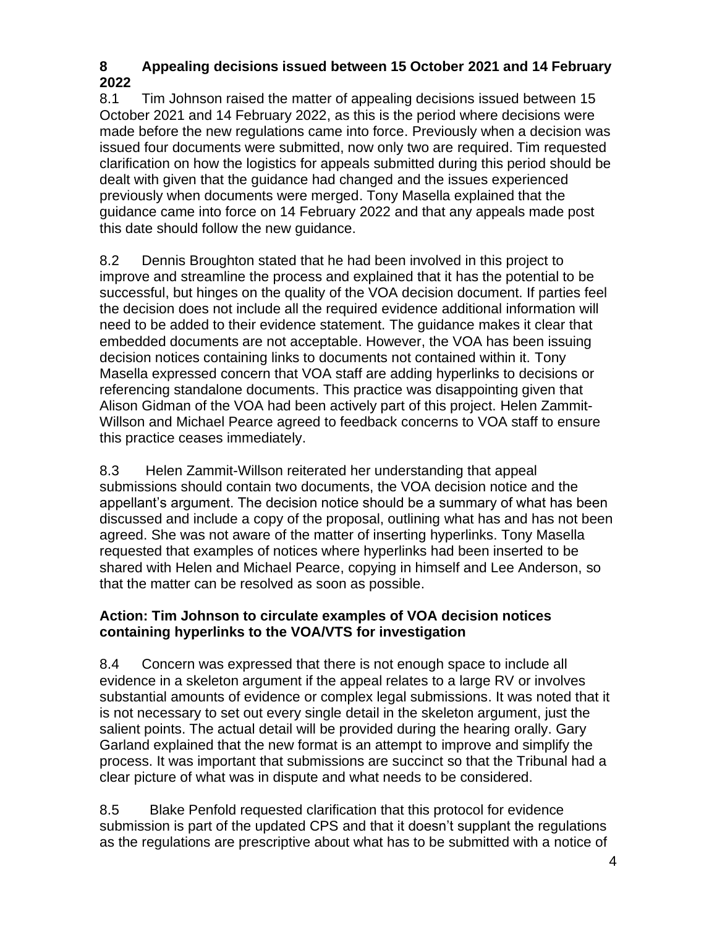# **8 Appealing decisions issued between 15 October 2021 and 14 February 2022**

8.1 Tim Johnson raised the matter of appealing decisions issued between 15 October 2021 and 14 February 2022, as this is the period where decisions were made before the new regulations came into force. Previously when a decision was issued four documents were submitted, now only two are required. Tim requested clarification on how the logistics for appeals submitted during this period should be dealt with given that the guidance had changed and the issues experienced previously when documents were merged. Tony Masella explained that the guidance came into force on 14 February 2022 and that any appeals made post this date should follow the new guidance.

8.2 Dennis Broughton stated that he had been involved in this project to improve and streamline the process and explained that it has the potential to be successful, but hinges on the quality of the VOA decision document. If parties feel the decision does not include all the required evidence additional information will need to be added to their evidence statement. The guidance makes it clear that embedded documents are not acceptable. However, the VOA has been issuing decision notices containing links to documents not contained within it. Tony Masella expressed concern that VOA staff are adding hyperlinks to decisions or referencing standalone documents. This practice was disappointing given that Alison Gidman of the VOA had been actively part of this project. Helen Zammit-Willson and Michael Pearce agreed to feedback concerns to VOA staff to ensure this practice ceases immediately.

8.3 Helen Zammit-Willson reiterated her understanding that appeal submissions should contain two documents, the VOA decision notice and the appellant's argument. The decision notice should be a summary of what has been discussed and include a copy of the proposal, outlining what has and has not been agreed. She was not aware of the matter of inserting hyperlinks. Tony Masella requested that examples of notices where hyperlinks had been inserted to be shared with Helen and Michael Pearce, copying in himself and Lee Anderson, so that the matter can be resolved as soon as possible.

# **Action: Tim Johnson to circulate examples of VOA decision notices containing hyperlinks to the VOA/VTS for investigation**

8.4 Concern was expressed that there is not enough space to include all evidence in a skeleton argument if the appeal relates to a large RV or involves substantial amounts of evidence or complex legal submissions. It was noted that it is not necessary to set out every single detail in the skeleton argument, just the salient points. The actual detail will be provided during the hearing orally. Gary Garland explained that the new format is an attempt to improve and simplify the process. It was important that submissions are succinct so that the Tribunal had a clear picture of what was in dispute and what needs to be considered.

8.5 Blake Penfold requested clarification that this protocol for evidence submission is part of the updated CPS and that it doesn't supplant the regulations as the regulations are prescriptive about what has to be submitted with a notice of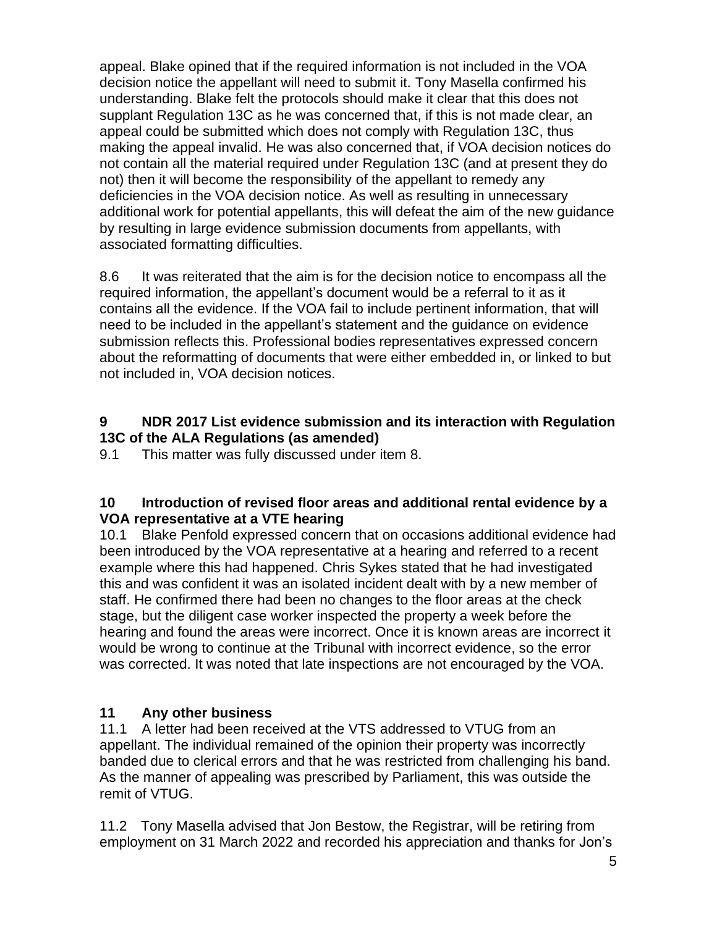appeal. Blake opined that if the required information is not included in the VOA decision notice the appellant will need to submit it. Tony Masella confirmed his understanding. Blake felt the protocols should make it clear that this does not supplant Regulation 13C as he was concerned that, if this is not made clear, an appeal could be submitted which does not comply with Regulation 13C, thus making the appeal invalid. He was also concerned that, if VOA decision notices do not contain all the material required under Regulation 13C (and at present they do not) then it will become the responsibility of the appellant to remedy any deficiencies in the VOA decision notice. As well as resulting in unnecessary additional work for potential appellants, this will defeat the aim of the new guidance by resulting in large evidence submission documents from appellants, with associated formatting difficulties.

8.6 It was reiterated that the aim is for the decision notice to encompass all the required information, the appellant's document would be a referral to it as it contains all the evidence. If the VOA fail to include pertinent information, that will need to be included in the appellant's statement and the guidance on evidence submission reflects this. Professional bodies representatives expressed concern about the reformatting of documents that were either embedded in, or linked to but not included in, VOA decision notices.

## **9 NDR 2017 List evidence submission and its interaction with Regulation 13C of the ALA Regulations (as amended)**

9.1 This matter was fully discussed under item 8.

### **10 Introduction of revised floor areas and additional rental evidence by a VOA representative at a VTE hearing**

10.1 Blake Penfold expressed concern that on occasions additional evidence had been introduced by the VOA representative at a hearing and referred to a recent example where this had happened. Chris Sykes stated that he had investigated this and was confident it was an isolated incident dealt with by a new member of staff. He confirmed there had been no changes to the floor areas at the check stage, but the diligent case worker inspected the property a week before the hearing and found the areas were incorrect. Once it is known areas are incorrect it would be wrong to continue at the Tribunal with incorrect evidence, so the error was corrected. It was noted that late inspections are not encouraged by the VOA.

## **11 Any other business**

11.1 A letter had been received at the VTS addressed to VTUG from an appellant. The individual remained of the opinion their property was incorrectly banded due to clerical errors and that he was restricted from challenging his band. As the manner of appealing was prescribed by Parliament, this was outside the remit of VTUG.

11.2 Tony Masella advised that Jon Bestow, the Registrar, will be retiring from employment on 31 March 2022 and recorded his appreciation and thanks for Jon's